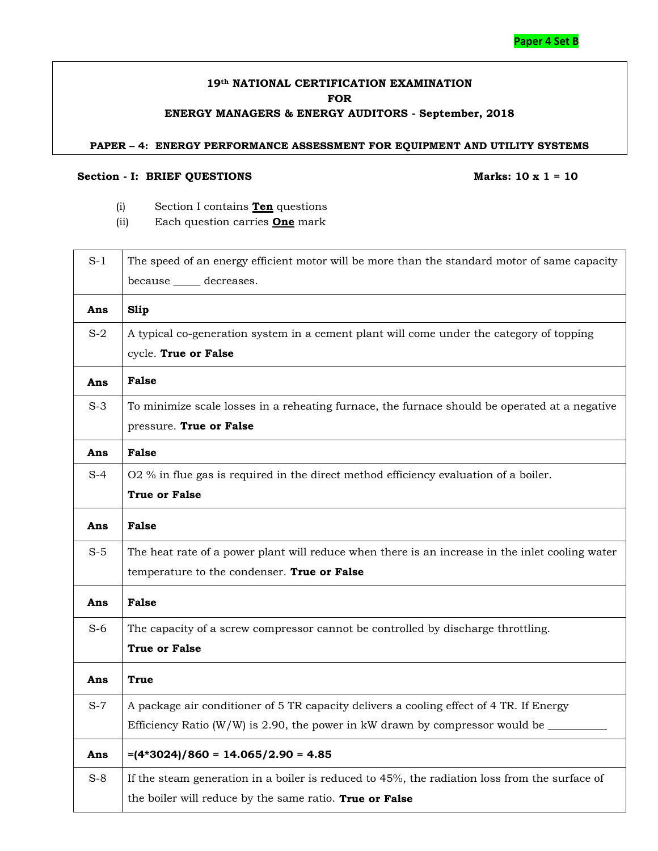## **19th NATIONAL CERTIFICATION EXAMINATION FOR ENERGY MANAGERS & ENERGY AUDITORS - September, 2018**

#### **PAPER – 4: ENERGY PERFORMANCE ASSESSMENT FOR EQUIPMENT AND UTILITY SYSTEMS**

### Section - **I:** BRIEF QUESTIONS Marks: 10 x 1 = 10

- (i) Section I contains **Ten** questions
- (ii) Each question carries **One** mark

| $S-1$ | The speed of an energy efficient motor will be more than the standard motor of same capacity<br>because ______ decreases.                      |
|-------|------------------------------------------------------------------------------------------------------------------------------------------------|
| Ans   | Slip                                                                                                                                           |
| $S-2$ | A typical co-generation system in a cement plant will come under the category of topping<br>cycle. True or False                               |
| Ans   | <b>False</b>                                                                                                                                   |
| $S-3$ | To minimize scale losses in a reheating furnace, the furnace should be operated at a negative<br>pressure. True or False                       |
| Ans   | <b>False</b>                                                                                                                                   |
| $S-4$ | O2 % in flue gas is required in the direct method efficiency evaluation of a boiler.<br><b>True or False</b>                                   |
| Ans   | <b>False</b>                                                                                                                                   |
| $S-5$ | The heat rate of a power plant will reduce when there is an increase in the inlet cooling water<br>temperature to the condenser. True or False |
| Ans   | <b>False</b>                                                                                                                                   |
| $S-6$ | The capacity of a screw compressor cannot be controlled by discharge throttling.<br><b>True or False</b>                                       |
| Ans   | <b>True</b>                                                                                                                                    |
| $S-7$ | A package air conditioner of 5 TR capacity delivers a cooling effect of 4 TR. If Energy                                                        |
|       | Efficiency Ratio (W/W) is 2.90, the power in kW drawn by compressor would be $\equiv$                                                          |
| Ans   | $=(4*3024)/860 = 14.065/2.90 = 4.85$                                                                                                           |
| $S-8$ | If the steam generation in a boiler is reduced to 45%, the radiation loss from the surface of                                                  |
|       | the boiler will reduce by the same ratio. True or False                                                                                        |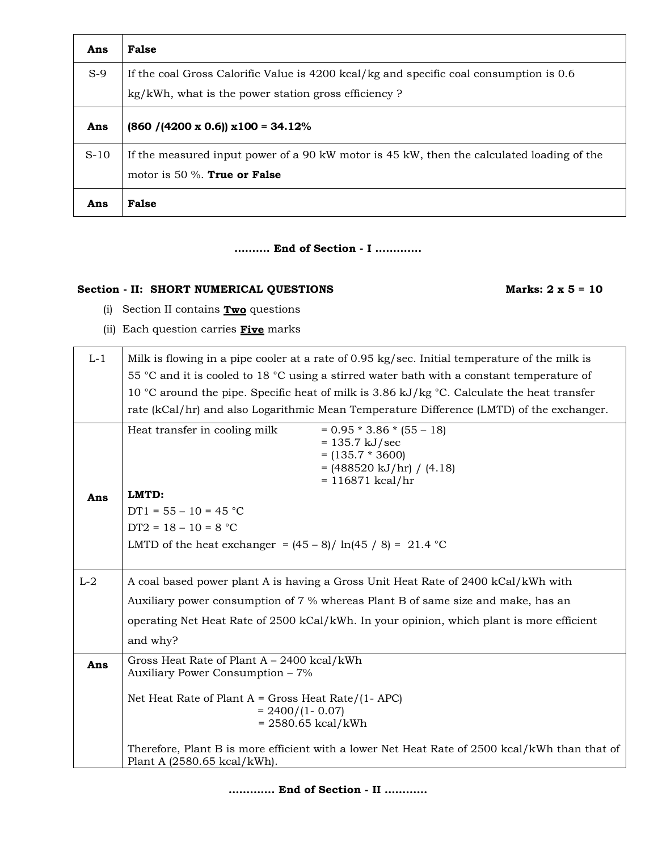| Ans    | <b>False</b>                                                                                                                                  |
|--------|-----------------------------------------------------------------------------------------------------------------------------------------------|
| $S-9$  | If the coal Gross Calorific Value is 4200 kcal/kg and specific coal consumption is 0.6<br>kg/kWh, what is the power station gross efficiency? |
| Ans    | $(860 / (4200 \times 0.6)) \times 100 = 34.12\%$                                                                                              |
| $S-10$ | If the measured input power of a 90 kW motor is 45 kW, then the calculated loading of the<br>motor is 50 $\%$ . True or False                 |
| Ans    | False                                                                                                                                         |

## **………. End of Section - I ………….**

# Section - **II:** SHORT NUMERICAL QUESTIONS Marks: 2 x 5 = 10

- (i) Section II contains **Two** questions
- (ii) Each question carries **Five** marks

| $L-1$ | Milk is flowing in a pipe cooler at a rate of 0.95 kg/sec. Initial temperature of the milk is<br>55 °C and it is cooled to 18 °C using a stirred water bath with a constant temperature of<br>10 °C around the pipe. Specific heat of milk is 3.86 kJ/kg °C. Calculate the heat transfer<br>rate (kCal/hr) and also Logarithmic Mean Temperature Difference (LMTD) of the exchanger. |  |  |  |
|-------|--------------------------------------------------------------------------------------------------------------------------------------------------------------------------------------------------------------------------------------------------------------------------------------------------------------------------------------------------------------------------------------|--|--|--|
|       | $= 0.95 * 3.86 * (55 - 18)$<br>Heat transfer in cooling milk<br>$= 135.7 \text{ kJ/sec}$<br>$= (135.7 * 3600)$<br>$= (488520 \text{ kJ/hr}) / (4.18)$<br>$= 116871$ kcal/hr                                                                                                                                                                                                          |  |  |  |
| Ans   | LMTD:<br>$DT1 = 55 - 10 = 45 °C$                                                                                                                                                                                                                                                                                                                                                     |  |  |  |
|       | $DT2 = 18 - 10 = 8 °C$                                                                                                                                                                                                                                                                                                                                                               |  |  |  |
|       | LMTD of the heat exchanger = $(45-8)/\ln(45/8) = 21.4$ °C                                                                                                                                                                                                                                                                                                                            |  |  |  |
|       |                                                                                                                                                                                                                                                                                                                                                                                      |  |  |  |
| $L-2$ | A coal based power plant A is having a Gross Unit Heat Rate of 2400 kCal/kWh with                                                                                                                                                                                                                                                                                                    |  |  |  |
|       | Auxiliary power consumption of 7 % whereas Plant B of same size and make, has an                                                                                                                                                                                                                                                                                                     |  |  |  |
|       | operating Net Heat Rate of 2500 kCal/kWh. In your opinion, which plant is more efficient                                                                                                                                                                                                                                                                                             |  |  |  |
|       | and why?                                                                                                                                                                                                                                                                                                                                                                             |  |  |  |
| Ans   | Gross Heat Rate of Plant A - 2400 kcal/kWh<br>Auxiliary Power Consumption - 7%                                                                                                                                                                                                                                                                                                       |  |  |  |
|       | Net Heat Rate of Plant $A = Gross$ Heat Rate/(1- APC)<br>$= 2400/(1 - 0.07)$<br>$= 2580.65$ kcal/kWh                                                                                                                                                                                                                                                                                 |  |  |  |
|       | Therefore, Plant B is more efficient with a lower Net Heat Rate of 2500 kcal/kWh than that of<br>Plant A (2580.65 kcal/kWh).                                                                                                                                                                                                                                                         |  |  |  |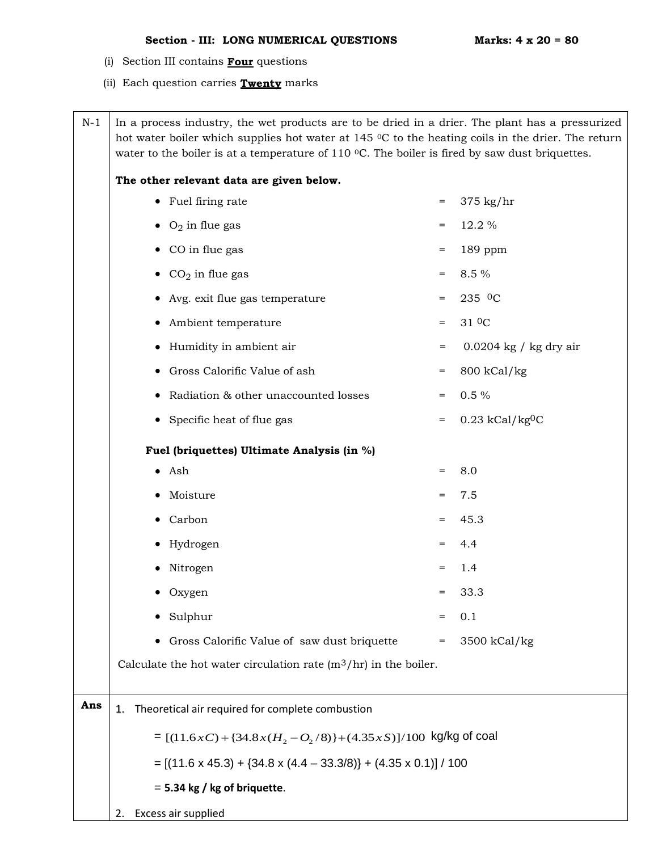- (i) Section III contains **Four** questions
- (ii) Each question carries **Twenty** marks

| $N-1$ | In a process industry, the wet products are to be dried in a drier. The plant has a pressurized<br>hot water boiler which supplies hot water at 145 °C to the heating coils in the drier. The return<br>water to the boiler is at a temperature of 110 $\degree$ C. The boiler is fired by saw dust briquettes. |     |                               |  |  |
|-------|-----------------------------------------------------------------------------------------------------------------------------------------------------------------------------------------------------------------------------------------------------------------------------------------------------------------|-----|-------------------------------|--|--|
|       | The other relevant data are given below.                                                                                                                                                                                                                                                                        |     |                               |  |  |
|       | • Fuel firing rate                                                                                                                                                                                                                                                                                              | $=$ | $375$ kg/hr                   |  |  |
|       | $\bullet$ O <sub>2</sub> in flue gas                                                                                                                                                                                                                                                                            | $=$ | 12.2 %                        |  |  |
|       | • CO in flue gas                                                                                                                                                                                                                                                                                                | $=$ | 189 ppm                       |  |  |
|       | • $CO2$ in flue gas                                                                                                                                                                                                                                                                                             | $=$ | 8.5 %                         |  |  |
|       | • Avg. exit flue gas temperature                                                                                                                                                                                                                                                                                | $=$ | 235 <sup>0</sup> C            |  |  |
|       | • Ambient temperature                                                                                                                                                                                                                                                                                           | $=$ | 31 <sup>0</sup> C             |  |  |
|       | • Humidity in ambient air                                                                                                                                                                                                                                                                                       | $=$ | $0.0204$ kg / kg dry air      |  |  |
|       | • Gross Calorific Value of ash                                                                                                                                                                                                                                                                                  | $=$ | 800 kCal/kg                   |  |  |
|       | Radiation & other unaccounted losses                                                                                                                                                                                                                                                                            | $=$ | $0.5\%$                       |  |  |
|       | • Specific heat of flue gas                                                                                                                                                                                                                                                                                     | $=$ | $0.23$ kCal/kg <sup>0</sup> C |  |  |
|       | Fuel (briquettes) Ultimate Analysis (in %)                                                                                                                                                                                                                                                                      |     |                               |  |  |
|       | $\bullet$ Ash                                                                                                                                                                                                                                                                                                   | $=$ | 8.0                           |  |  |
|       | Moisture                                                                                                                                                                                                                                                                                                        | $=$ | 7.5                           |  |  |
|       | • Carbon                                                                                                                                                                                                                                                                                                        | $=$ | 45.3                          |  |  |
|       | Hydrogen<br>$\bullet$                                                                                                                                                                                                                                                                                           | $=$ | 4.4                           |  |  |
|       | Nitrogen                                                                                                                                                                                                                                                                                                        | $=$ | 1.4                           |  |  |
|       | Oxygen                                                                                                                                                                                                                                                                                                          | $=$ | 33.3                          |  |  |
|       | Sulphur                                                                                                                                                                                                                                                                                                         |     | 0.1                           |  |  |
|       | Gross Calorific Value of saw dust briquette<br>$\bullet$                                                                                                                                                                                                                                                        | =   | 3500 kCal/kg                  |  |  |
|       | Calculate the hot water circulation rate $(m^3/hr)$ in the boiler.                                                                                                                                                                                                                                              |     |                               |  |  |
|       |                                                                                                                                                                                                                                                                                                                 |     |                               |  |  |
| Ans   | Theoretical air required for complete combustion<br>1.                                                                                                                                                                                                                                                          |     |                               |  |  |
|       | = $[(11.6xC) + {34.8x(H2 - O2/8)} + (4.35xS)]/100$ kg/kg of coal                                                                                                                                                                                                                                                |     |                               |  |  |
|       | $= [(11.6 \times 45.3) + (34.8 \times (4.4 - 33.3/8)) + (4.35 \times 0.1)] / 100$                                                                                                                                                                                                                               |     |                               |  |  |
|       | $= 5.34$ kg / kg of briquette.                                                                                                                                                                                                                                                                                  |     |                               |  |  |
|       | Excess air supplied<br>2.                                                                                                                                                                                                                                                                                       |     |                               |  |  |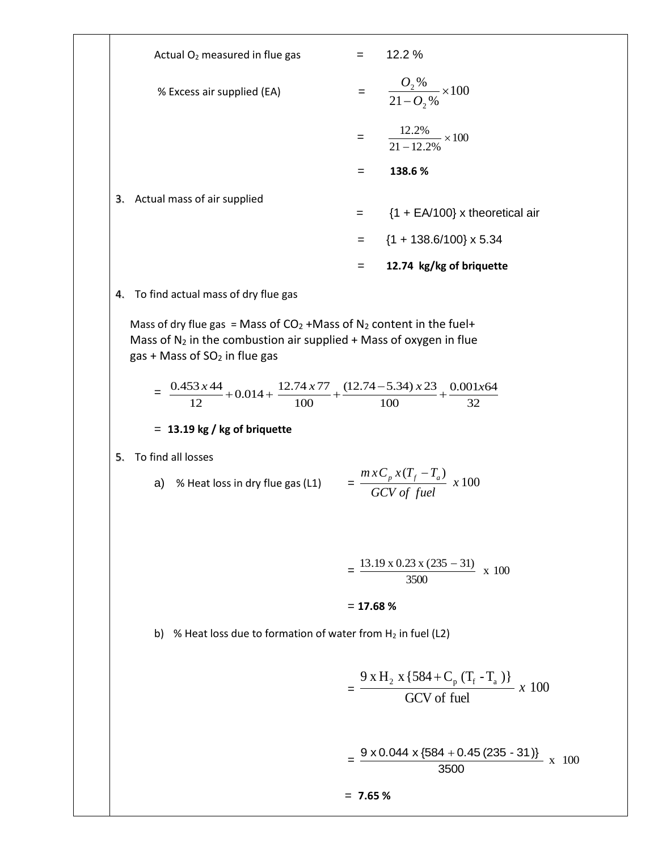| Actual O <sub>2</sub> measured in flue gas                                                                                                                                                    | $= 12.2 \%$                                                                              |
|-----------------------------------------------------------------------------------------------------------------------------------------------------------------------------------------------|------------------------------------------------------------------------------------------|
| % Excess air supplied (EA)                                                                                                                                                                    | $=\frac{O_2\%}{21-O_2\%}\times100$                                                       |
|                                                                                                                                                                                               | $=\frac{12.2\%}{21-12.2\%}\times 100$                                                    |
|                                                                                                                                                                                               | 138.6%<br>$=$                                                                            |
| Actual mass of air supplied<br>3.                                                                                                                                                             |                                                                                          |
|                                                                                                                                                                                               | $=$ {1 + EA/100} x theoretical air                                                       |
|                                                                                                                                                                                               | $=$ {1 + 138.6/100} x 5.34                                                               |
|                                                                                                                                                                                               | 12.74 kg/kg of briquette<br>$=$                                                          |
| To find actual mass of dry flue gas<br>4.                                                                                                                                                     |                                                                                          |
| Mass of dry flue gas = Mass of $CO2 +Mass$ of N <sub>2</sub> content in the fuel+<br>Mass of $N_2$ in the combustion air supplied + Mass of oxygen in flue<br>gas + Mass of $SO2$ in flue gas |                                                                                          |
| $= \frac{0.453 \times 44}{12} + 0.014 + \frac{12.74 \times 77}{100} + \frac{(12.74 - 5.34) \times 23}{100} + \frac{0.001 \times 64}{32}$                                                      |                                                                                          |
| $= 13.19$ kg / kg of briquette                                                                                                                                                                |                                                                                          |
| To find all losses<br>5.                                                                                                                                                                      |                                                                                          |
| a) % Heat loss in dry flue gas (L1) $= \frac{m x C_p x (T_f - T_a)}{G C V \text{ of } fuel} x 100$                                                                                            |                                                                                          |
|                                                                                                                                                                                               | $= \frac{13.19 \times 0.23 \times (235 - 31)}{3500} \times 100$                          |
|                                                                                                                                                                                               |                                                                                          |
|                                                                                                                                                                                               | $= 17.68 %$                                                                              |
| b) % Heat loss due to formation of water from $H_2$ in fuel (L2)                                                                                                                              |                                                                                          |
|                                                                                                                                                                                               | $= \frac{9 \times H_2 \times \{584 + C_p (T_f - T_a)\}}{GCV \text{ of fuel}} \times 100$ |
|                                                                                                                                                                                               | $=\frac{9 \times 0.044 \times \{584 + 0.45 (235 - 31)\}}{3500} \times 100$               |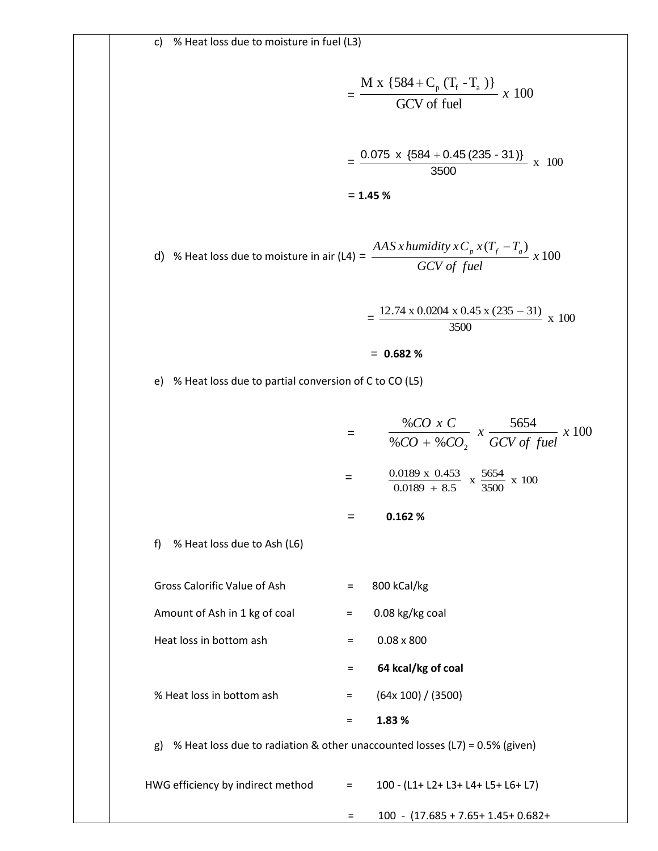$$
= \frac{M x \{584 + C_p (T_f - T_a)\}}{GCV \text{ of fuel}} x 100
$$

$$
= \frac{0.075 x \{584 + 0.45 (235 - 31)\}}{3500} x 100
$$

$$
= 1.45\%
$$

d) % Heat loss due to moisture in air (L4) = 
$$
\frac{AAS \ x \ humidity \ x \ C_p \ x (T_f - T_a)}{GCV \ of \ fuel} \ x \ 100
$$

$$
= \frac{12.74 \times 0.0204 \times 0.45 \times (235 - 31)}{3500} \times 100
$$

$$
= 0.682\%
$$

e) % Heat loss due to partial conversion of C to CO (L5)

$$
= \frac{\%CO \times C}{\%CO + \%CO_2} \times \frac{5654}{GCV \text{ of fuel}} \times 100
$$

$$
= \frac{0.0189 \times 0.453}{0.0189 + 8.5} \times \frac{5654}{3500} \times 100
$$

$$
= 0.162\%
$$

f) % Heat loss due to Ash (L6)

Gross Calorific Value of Ash = 800 kCal/kg

Amount of Ash in 1 kg of coal  $=$  0.08 kg/kg coal

Heat loss in bottom ash  $=$  0.08 x 800

= **64 kcal/kg of coal**

% Heat loss in bottom ash  $=$   $(64x 100) / (3500)$ 

= **1.83 %**

g) % Heat loss due to radiation & other unaccounted losses (L7) = 0.5% (given)

| HWG efficiency by indirect method | 100 - (L1+ L2+ L3+ L4+ L5+ L6+ L7) |
|-----------------------------------|------------------------------------|
|                                   |                                    |

 $= 100 - (17.685 + 7.65 + 1.45 + 0.682 +$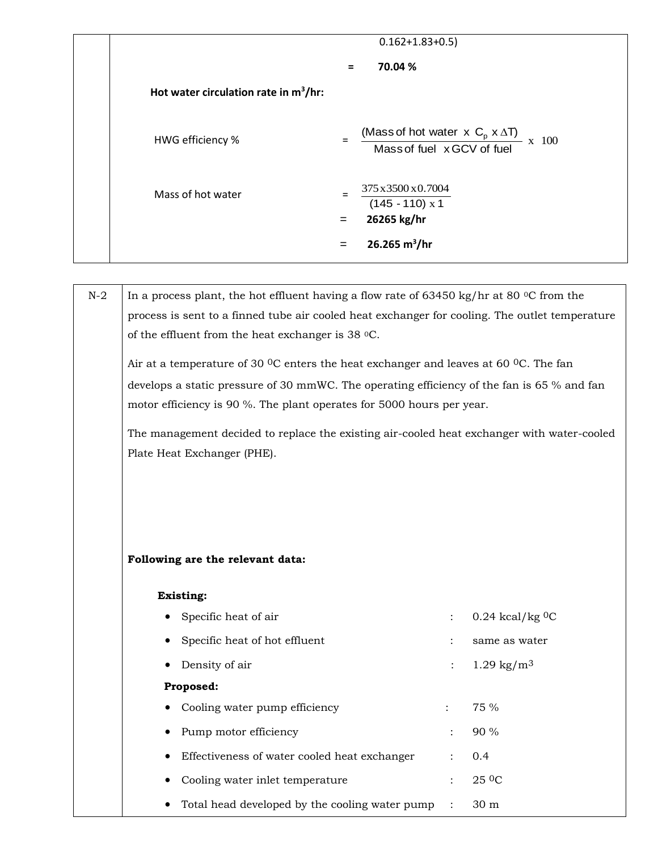|                                          |            | $0.162 + 1.83 + 0.5$                                                                                       |
|------------------------------------------|------------|------------------------------------------------------------------------------------------------------------|
|                                          | $=$        | 70.04 %                                                                                                    |
| Hot water circulation rate in $m^3/hr$ : |            |                                                                                                            |
| HWG efficiency %                         | $=$        | (Mass of hot water $\times$ C <sub>p</sub> $\times$ $\Delta$ T) $\times$ 100<br>Mass of fuel x GCV of fuel |
| Mass of hot water                        | $=$<br>$=$ | 375 x 3500 x 0.7004<br>$(145 - 110) x 1$<br>26265 kg/hr                                                    |
|                                          | $=$        | 26.265 $m^3$ /hr                                                                                           |

|                                                                                                              | In a process plant, the hot effluent having a flow rate of 63450 kg/hr at 80 $\degree$ C from the |                       |
|--------------------------------------------------------------------------------------------------------------|---------------------------------------------------------------------------------------------------|-----------------------|
| process is sent to a finned tube air cooled heat exchanger for cooling. The outlet temperature               |                                                                                                   |                       |
| of the effluent from the heat exchanger is 38 °C.                                                            |                                                                                                   |                       |
| Air at a temperature of 30 <sup>o</sup> C enters the heat exchanger and leaves at 60 <sup>o</sup> C. The fan |                                                                                                   |                       |
| develops a static pressure of 30 mmWC. The operating efficiency of the fan is 65 % and fan                   |                                                                                                   |                       |
| motor efficiency is 90 %. The plant operates for 5000 hours per year.                                        |                                                                                                   |                       |
| The management decided to replace the existing air-cooled heat exchanger with water-cooled                   |                                                                                                   |                       |
| Plate Heat Exchanger (PHE).                                                                                  |                                                                                                   |                       |
|                                                                                                              |                                                                                                   |                       |
|                                                                                                              |                                                                                                   |                       |
|                                                                                                              |                                                                                                   |                       |
|                                                                                                              |                                                                                                   |                       |
|                                                                                                              |                                                                                                   |                       |
|                                                                                                              |                                                                                                   |                       |
| Following are the relevant data:                                                                             |                                                                                                   |                       |
| <b>Existing:</b>                                                                                             |                                                                                                   |                       |
| Specific heat of air                                                                                         |                                                                                                   | $0.24$ kcal/kg $0C$   |
| Specific heat of hot effluent                                                                                |                                                                                                   | same as water         |
| Density of air                                                                                               | $\ddot{\phantom{a}}$                                                                              | $1.29 \text{ kg/m}^3$ |
| Proposed:                                                                                                    |                                                                                                   |                       |
| Cooling water pump efficiency                                                                                | $\ddot{\cdot}$                                                                                    | 75 %                  |
| Pump motor efficiency                                                                                        |                                                                                                   | 90 %                  |
| Effectiveness of water cooled heat exchanger                                                                 |                                                                                                   | 0.4                   |
| Cooling water inlet temperature                                                                              | $\ddot{\cdot}$                                                                                    | 25 <sup>0</sup> C     |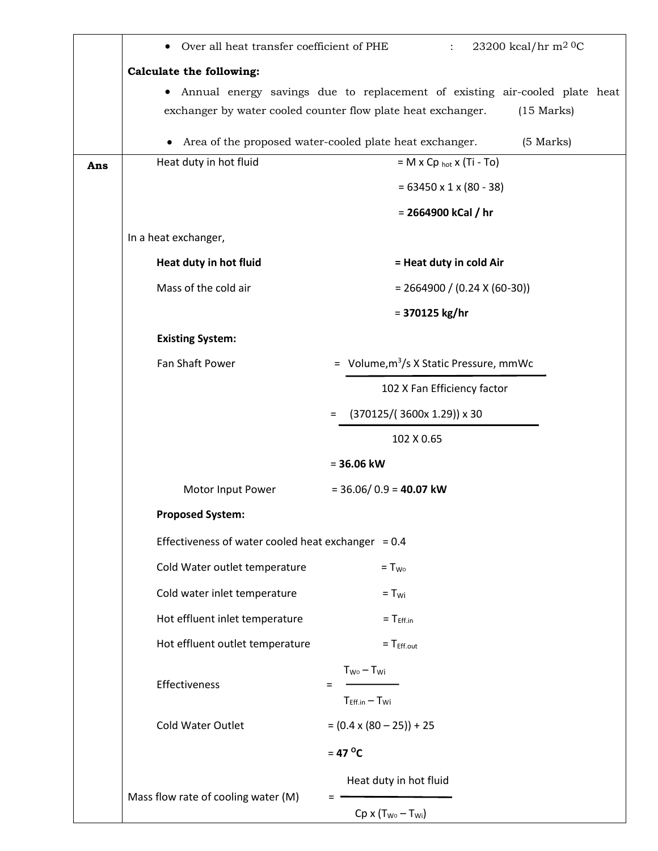|     | Over all heat transfer coefficient of PHE            | 23200 kcal/hr m <sup>2 0</sup> C<br>$\ddot{\phantom{0}}$                     |
|-----|------------------------------------------------------|------------------------------------------------------------------------------|
|     | <b>Calculate the following:</b>                      |                                                                              |
|     |                                                      | Annual energy savings due to replacement of existing air-cooled plate heat   |
|     |                                                      | exchanger by water cooled counter flow plate heat exchanger.<br>$(15$ Marks) |
|     | $\bullet$                                            | Area of the proposed water-cooled plate heat exchanger.<br>(5 Marks)         |
| Ans | Heat duty in hot fluid                               | $= M \times Cp_{hot} \times (Ti - To)$                                       |
|     |                                                      | $= 63450 \times 1 \times (80 - 38)$                                          |
|     |                                                      | = 2664900 kCal / hr                                                          |
|     | In a heat exchanger,                                 |                                                                              |
|     | Heat duty in hot fluid                               | = Heat duty in cold Air                                                      |
|     | Mass of the cold air                                 | $= 2664900 / (0.24 X (60-30))$                                               |
|     |                                                      | $= 370125$ kg/hr                                                             |
|     | <b>Existing System:</b>                              |                                                                              |
|     | Fan Shaft Power                                      | = Volume, $m^3/s$ X Static Pressure, mmWc                                    |
|     |                                                      | 102 X Fan Efficiency factor                                                  |
|     |                                                      | $(370125/$ $(3600x 1.29)$ ) x 30<br>$=$                                      |
|     |                                                      | 102 X 0.65                                                                   |
|     |                                                      | $= 36.06$ kW                                                                 |
|     | Motor Input Power                                    | $=$ 36.06/0.9 = 40.07 kW                                                     |
|     | <b>Proposed System:</b>                              |                                                                              |
|     | Effectiveness of water cooled heat exchanger = $0.4$ |                                                                              |
|     | Cold Water outlet temperature                        | $= T_{WQ}$                                                                   |
|     | Cold water inlet temperature                         | $= T_{wi}$                                                                   |
|     | Hot effluent inlet temperature                       | $= TEff.in$                                                                  |
|     | Hot effluent outlet temperature                      | $= Teff.out$                                                                 |
|     |                                                      | $T_{W0} - T_{Wi}$                                                            |
|     | Effectiveness                                        | $T_{Eff.in} - T_{Wi}$                                                        |
|     | <b>Cold Water Outlet</b>                             | $= (0.4 \times (80 - 25)) + 25$                                              |
|     |                                                      |                                                                              |
|     |                                                      | $= 47 °C$                                                                    |
|     | Mass flow rate of cooling water (M)                  | Heat duty in hot fluid                                                       |
|     |                                                      | $Cp \times (T_{W0} - T_{Wi})$                                                |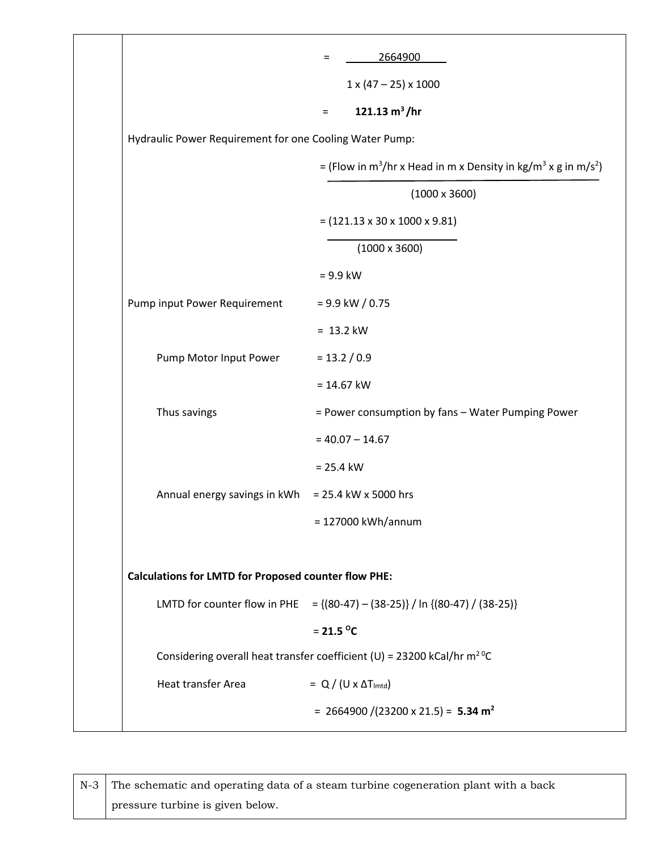|                                                             | 2664900<br>$=$                                                                                     |
|-------------------------------------------------------------|----------------------------------------------------------------------------------------------------|
|                                                             | $1 \times (47 - 25) \times 1000$                                                                   |
|                                                             | 121.13 $m^3/hr$<br>$=$                                                                             |
| Hydraulic Power Requirement for one Cooling Water Pump:     |                                                                                                    |
|                                                             | = (Flow in m <sup>3</sup> /hr x Head in m x Density in kg/m <sup>3</sup> x g in m/s <sup>2</sup> ) |
|                                                             | $(1000 \times 3600)$                                                                               |
|                                                             | $= (121.13 \times 30 \times 1000 \times 9.81)$                                                     |
|                                                             | $(1000 \times 3600)$                                                                               |
|                                                             | $= 9.9$ kW                                                                                         |
| Pump input Power Requirement                                | $= 9.9$ kW / 0.75                                                                                  |
|                                                             | $= 13.2$ kW                                                                                        |
| Pump Motor Input Power                                      | $= 13.2 / 0.9$                                                                                     |
|                                                             | $= 14.67$ kW                                                                                       |
| Thus savings                                                | = Power consumption by fans - Water Pumping Power                                                  |
|                                                             | $= 40.07 - 14.67$                                                                                  |
|                                                             | $= 25.4$ kW                                                                                        |
| Annual energy savings in kWh                                | = 25.4 kW x 5000 hrs                                                                               |
|                                                             | = 127000 kWh/annum                                                                                 |
| <b>Calculations for LMTD for Proposed counter flow PHE:</b> |                                                                                                    |
| LMTD for counter flow in PHE                                | $= \{(80-47) - (38-25)\} / \ln \{(80-47) / (38-25)\}$                                              |
|                                                             | $= 21.5 °C$                                                                                        |
|                                                             | Considering overall heat transfer coefficient (U) = 23200 kCal/hr $m^2$ <sup>0</sup> C             |
| Heat transfer Area                                          | $= Q / (U \times \Delta T_{\text{lmtd}})$                                                          |
|                                                             | = 2664900 /(23200 x 21.5) = 5.34 m <sup>2</sup>                                                    |

N-3 The schematic and operating data of a steam turbine cogeneration plant with a back pressure turbine is given below.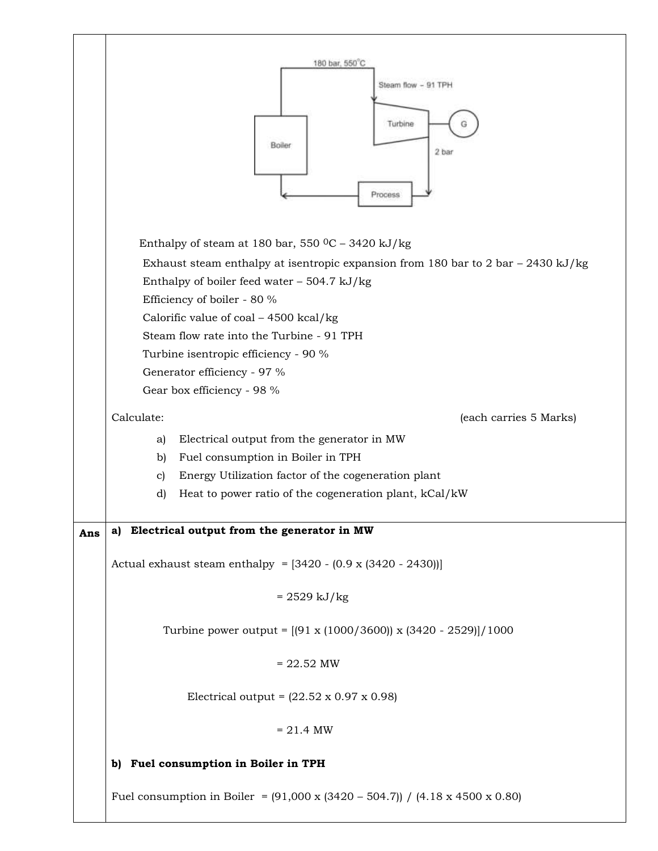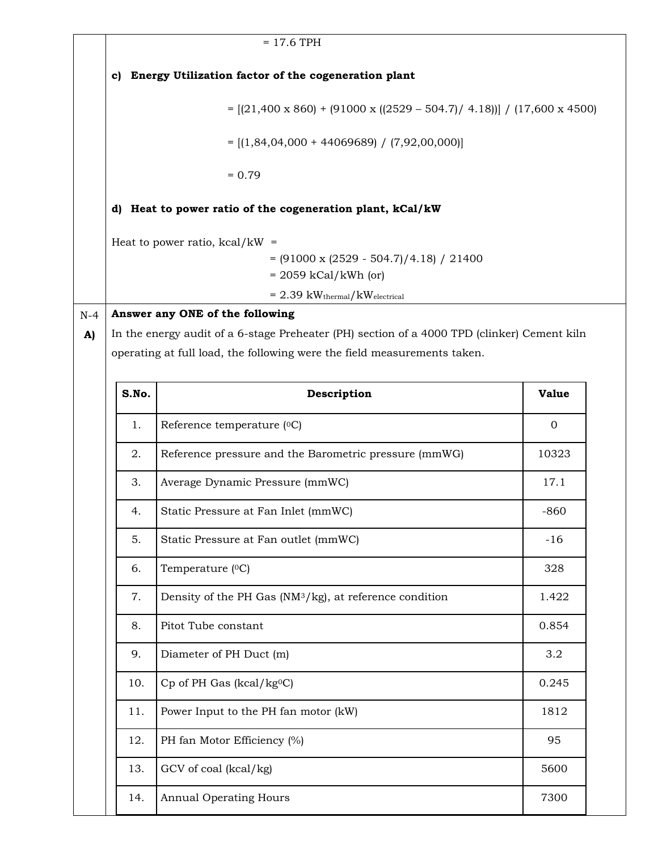|       |       | $= 17.6$ TPH                                                                                |              |
|-------|-------|---------------------------------------------------------------------------------------------|--------------|
|       | c)    | Energy Utilization factor of the cogeneration plant                                         |              |
|       |       | $= [(21,400 \times 860) + (91000 \times ((2529 - 504.7) / 4.18))]/(17,600 \times 4500)$     |              |
|       |       | $=$ [(1,84,04,000 + 44069689) / (7,92,00,000)]                                              |              |
|       |       | $= 0.79$                                                                                    |              |
|       |       | d) Heat to power ratio of the cogeneration plant, kCal/kW                                   |              |
|       |       |                                                                                             |              |
|       |       | Heat to power ratio, $kcal/kW =$<br>$= (91000 \times (2529 - 504.7)/4.18) / 21400$          |              |
|       |       | $= 2059$ kCal/kWh (or)                                                                      |              |
|       |       | $= 2.39$ kW <sub>thermal</sub> /kW <sub>electrical</sub>                                    |              |
| $N-4$ |       | Answer any ONE of the following                                                             |              |
| A)    |       | In the energy audit of a 6-stage Preheater (PH) section of a 4000 TPD (clinker) Cement kiln |              |
|       |       | operating at full load, the following were the field measurements taken.                    |              |
|       |       |                                                                                             |              |
|       | S.No. | Description                                                                                 | <b>Value</b> |
|       | 1.    | Reference temperature (°C)                                                                  | $\mathbf{0}$ |
|       | 2.    | Reference pressure and the Barometric pressure (mmWG)                                       | 10323        |
|       | 3.    | Average Dynamic Pressure (mmWC)                                                             | 17.1         |
|       | 4.    | Static Pressure at Fan Inlet (mmWC)                                                         | $-860$       |
|       | 5.    | Static Pressure at Fan outlet (mmWC)                                                        | $-16$        |
|       | 6.    | Temperature (°C)                                                                            | 328          |
|       | 7.    | Density of the PH Gas (NM <sup>3</sup> /kg), at reference condition                         | 1.422        |
|       | 8.    | Pitot Tube constant                                                                         | 0.854        |
|       | 9.    | Diameter of PH Duct (m)                                                                     | 3.2          |
|       | 10.   | Cp of PH Gas (kcal/kg <sup>o</sup> C)                                                       | 0.245        |
|       | 11.   | Power Input to the PH fan motor (kW)                                                        | 1812         |
|       | 12.   | PH fan Motor Efficiency (%)                                                                 | 95           |
|       | 13.   | GCV of coal (kcal/kg)                                                                       | 5600         |
|       | 14.   | <b>Annual Operating Hours</b>                                                               | 7300         |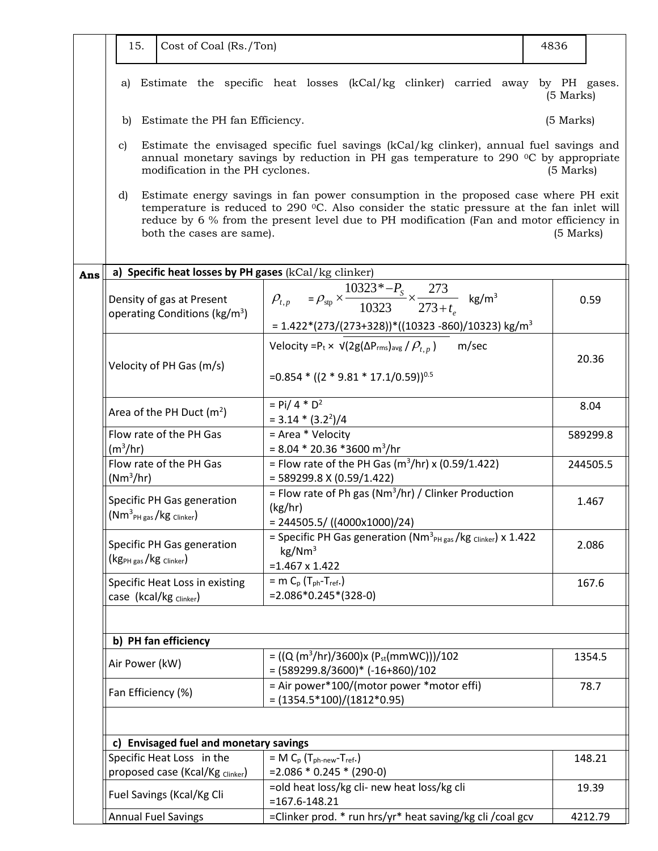| 15.                          | Cost of Coal (Rs./Ton)                                                                                                                                                                                                                                                                                                   |                                                                                                                                                                                         | 4836        |          |  |  |  |
|------------------------------|--------------------------------------------------------------------------------------------------------------------------------------------------------------------------------------------------------------------------------------------------------------------------------------------------------------------------|-----------------------------------------------------------------------------------------------------------------------------------------------------------------------------------------|-------------|----------|--|--|--|
|                              |                                                                                                                                                                                                                                                                                                                          |                                                                                                                                                                                         |             |          |  |  |  |
| a)                           |                                                                                                                                                                                                                                                                                                                          | Estimate the specific heat losses (kCal/kg clinker) carried away by PH gases.                                                                                                           | $(5$ Marks) |          |  |  |  |
| b)                           | Estimate the PH fan Efficiency.                                                                                                                                                                                                                                                                                          |                                                                                                                                                                                         | $(5$ Marks) |          |  |  |  |
| C)                           | modification in the PH cyclones.                                                                                                                                                                                                                                                                                         | Estimate the envisaged specific fuel savings (kCal/kg clinker), annual fuel savings and<br>annual monetary savings by reduction in PH gas temperature to 290 $\degree$ C by appropriate | $(5$ Marks) |          |  |  |  |
| d)                           | Estimate energy savings in fan power consumption in the proposed case where PH exit<br>temperature is reduced to 290 °C. Also consider the static pressure at the fan inlet will<br>reduce by 6 % from the present level due to PH modification (Fan and motor efficiency in<br>both the cases are same).<br>$(5$ Marks) |                                                                                                                                                                                         |             |          |  |  |  |
|                              |                                                                                                                                                                                                                                                                                                                          | a) Specific heat losses by PH gases (kCal/kg clinker)                                                                                                                                   |             |          |  |  |  |
| Ans                          | Density of gas at Present<br>operating Conditions (kg/m <sup>3</sup> )                                                                                                                                                                                                                                                   | $\rho_{t,p} = \rho_{\rm sp} \times \frac{10323^* - P_{\rm s}}{10323} \times \frac{273}{273 + t}$ kg/m <sup>3</sup><br>$= 1.422*(273/(273+328))*(10323-860)/10323)$ kg/m <sup>3</sup>    |             | 0.59     |  |  |  |
|                              |                                                                                                                                                                                                                                                                                                                          | Velocity = P <sub>t</sub> × $\sqrt{2g(\Delta P_{rms})_{avg}} / P_{t,p}$<br>m/sec                                                                                                        |             |          |  |  |  |
|                              | Velocity of PH Gas (m/s)                                                                                                                                                                                                                                                                                                 | = $0.854 * ((2 * 9.81 * 17.1/0.59))^{0.5}$                                                                                                                                              |             | 20.36    |  |  |  |
|                              | Area of the PH Duct $(m^2)$                                                                                                                                                                                                                                                                                              | $=$ Pi/ 4 $*$ D <sup>2</sup><br>$= 3.14 * (3.2^{2})/4$                                                                                                                                  |             | 8.04     |  |  |  |
| $(m^3/hr)$                   | Flow rate of the PH Gas                                                                                                                                                                                                                                                                                                  | = Area * Velocity<br>$= 8.04 * 20.36 * 3600 m^{3}/hr$                                                                                                                                   |             | 589299.8 |  |  |  |
| $(Nm^3/hr)$                  | Flow rate of the PH Gas                                                                                                                                                                                                                                                                                                  | = Flow rate of the PH Gas ( $m^3/hr$ ) x (0.59/1.422)<br>$=$ 589299.8 X (0.59/1.422)                                                                                                    |             | 244505.5 |  |  |  |
|                              | Specific PH Gas generation<br>$(\textsf{Nm}^3{}_{\textsf{PH gas}}/\textsf{kg}$ Clinker)                                                                                                                                                                                                                                  | = Flow rate of Ph gas ( $Nm^3/hr$ ) / Clinker Production<br>(kg/hr)<br>$= 244505.5 / ((4000x1000)/24)$                                                                                  |             | 1.467    |  |  |  |
| $(kg_{PH gas}/kg_{Clinker})$ | Specific PH Gas generation                                                                                                                                                                                                                                                                                               | = Specific PH Gas generation ( $Nm^3_{PH\,gas}/kg$ clinker) x 1.422<br>kg/Nm <sup>3</sup><br>$=1.467 \times 1.422$                                                                      |             | 2.086    |  |  |  |
|                              | Specific Heat Loss in existing<br>case (kcal/kg clinker)                                                                                                                                                                                                                                                                 | = m $C_p$ ( $T_{ph}$ - $T_{ref}$ .)<br>$=2.086*0.245*(328-0)$                                                                                                                           |             | 167.6    |  |  |  |
|                              |                                                                                                                                                                                                                                                                                                                          |                                                                                                                                                                                         |             |          |  |  |  |
|                              | b) PH fan efficiency                                                                                                                                                                                                                                                                                                     |                                                                                                                                                                                         |             |          |  |  |  |
| Air Power (kW)               |                                                                                                                                                                                                                                                                                                                          | = ((Q (m <sup>3</sup> /hr)/3600)x (P <sub>st</sub> (mmWC)))/102<br>$=(589299.8/3600)*(-16+860)/102$                                                                                     |             | 1354.5   |  |  |  |
| Fan Efficiency (%)           |                                                                                                                                                                                                                                                                                                                          | = Air power*100/(motor power *motor effi)<br>$= (1354.5*100)/(1812*0.95)$                                                                                                               |             | 78.7     |  |  |  |
|                              |                                                                                                                                                                                                                                                                                                                          |                                                                                                                                                                                         |             |          |  |  |  |
|                              | c) Envisaged fuel and monetary savings                                                                                                                                                                                                                                                                                   |                                                                                                                                                                                         |             | 148.21   |  |  |  |
|                              | Specific Heat Loss in the<br>$= M C_p (T_{ph-new}-T_{ref.})$<br>proposed case (Kcal/Kg Clinker)<br>$= 2.086 * 0.245 * (290-0)$                                                                                                                                                                                           |                                                                                                                                                                                         |             |          |  |  |  |
|                              | Fuel Savings (Kcal/Kg Cli                                                                                                                                                                                                                                                                                                | =old heat loss/kg cli- new heat loss/kg cli<br>$= 167.6 - 148.21$                                                                                                                       |             | 19.39    |  |  |  |
|                              | <b>Annual Fuel Savings</b>                                                                                                                                                                                                                                                                                               | =Clinker prod. * run hrs/yr* heat saving/kg cli / coal gcv                                                                                                                              |             | 4212.79  |  |  |  |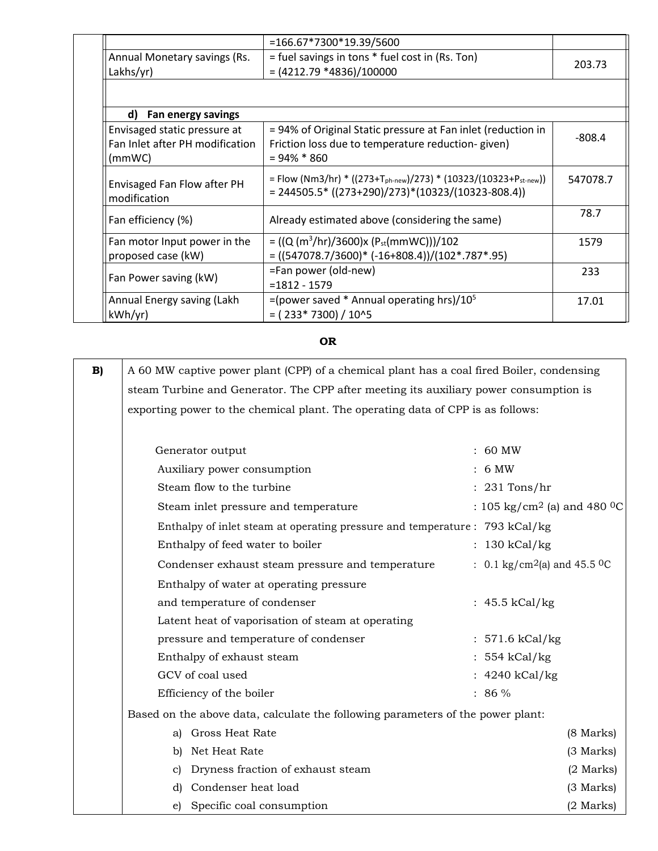|                                                                           | =166.67*7300*19.39/5600                                                                                                                          |          |
|---------------------------------------------------------------------------|--------------------------------------------------------------------------------------------------------------------------------------------------|----------|
| Annual Monetary savings (Rs.<br>Lakhs/yr)                                 | = fuel savings in tons * fuel cost in (Rs. Ton)<br>$=(4212.79 * 4836)/100000$                                                                    | 203.73   |
|                                                                           |                                                                                                                                                  |          |
| d) Fan energy savings                                                     |                                                                                                                                                  |          |
| Envisaged static pressure at<br>Fan Inlet after PH modification<br>(mmWC) | = 94% of Original Static pressure at Fan inlet (reduction in<br>Friction loss due to temperature reduction-given)<br>$= 94\% * 860$              | $-808.4$ |
| Envisaged Fan Flow after PH<br>modification                               | = Flow (Nm3/hr) * ((273+T <sub>ph-new</sub> )/273) * (10323/(10323+P <sub>st-new</sub> ))<br>$= 244505.5* ((273+290)/273)*(10323/(10323-808.4))$ | 547078.7 |
| Fan efficiency (%)                                                        | Already estimated above (considering the same)                                                                                                   | 78.7     |
| Fan motor Input power in the<br>proposed case (kW)                        | = ((Q (m <sup>3</sup> /hr)/3600)x (P <sub>st</sub> (mmWC)))/102<br>$= ((547078.7/3600)^* (-16+808.4))/(102*.787*.95)$                            | 1579     |
| Fan Power saving (kW)                                                     | =Fan power (old-new)<br>$= 1812 - 1579$                                                                                                          | 233      |
| Annual Energy saving (Lakh<br>kWh/yr)                                     | =(power saved $*$ Annual operating hrs)/10 <sup>5</sup><br>$= (233*7300)/10^{15}$                                                                | 17.01    |

# **OR**

| B)                                                                          | A 60 MW captive power plant (CPP) of a chemical plant has a coal fired Boiler, condensing |                                                      |
|-----------------------------------------------------------------------------|-------------------------------------------------------------------------------------------|------------------------------------------------------|
|                                                                             | steam Turbine and Generator. The CPP after meeting its auxiliary power consumption is     |                                                      |
|                                                                             | exporting power to the chemical plant. The operating data of CPP is as follows:           |                                                      |
|                                                                             |                                                                                           |                                                      |
|                                                                             | Generator output                                                                          | : 60 MW                                              |
|                                                                             | Auxiliary power consumption                                                               | 6 MW                                                 |
|                                                                             | Steam flow to the turbine                                                                 | 231 Tons/hr                                          |
|                                                                             | Steam inlet pressure and temperature                                                      | : 105 kg/cm <sup>2</sup> (a) and 480 <sup>0</sup> C  |
| Enthalpy of inlet steam at operating pressure and temperature : 793 kCal/kg |                                                                                           |                                                      |
|                                                                             | Enthalpy of feed water to boiler                                                          | : 130 kCal/kg                                        |
|                                                                             | Condenser exhaust steam pressure and temperature                                          | : 0.1 kg/cm <sup>2</sup> (a) and 45.5 <sup>0</sup> C |
|                                                                             | Enthalpy of water at operating pressure                                                   |                                                      |
|                                                                             | and temperature of condenser                                                              | : $45.5$ kCal/kg                                     |
|                                                                             | Latent heat of vaporisation of steam at operating                                         |                                                      |
|                                                                             | pressure and temperature of condenser                                                     | : $571.6 \text{ kCal/kg}$                            |
|                                                                             | Enthalpy of exhaust steam                                                                 | : 554 kCal/kg                                        |
|                                                                             | GCV of coal used                                                                          | : 4240 kCal/kg                                       |
|                                                                             | Efficiency of the boiler                                                                  | $: 86 \%$                                            |
|                                                                             | Based on the above data, calculate the following parameters of the power plant:           |                                                      |
|                                                                             | a) Gross Heat Rate                                                                        | (8 Marks)                                            |
|                                                                             | b) Net Heat Rate                                                                          | (3 Marks)                                            |
|                                                                             | Dryness fraction of exhaust steam<br>C)                                                   | $(2$ Marks)                                          |
|                                                                             | d) Condenser heat load                                                                    | (3 Marks)                                            |
|                                                                             | e) Specific coal consumption                                                              | $(2$ Marks)                                          |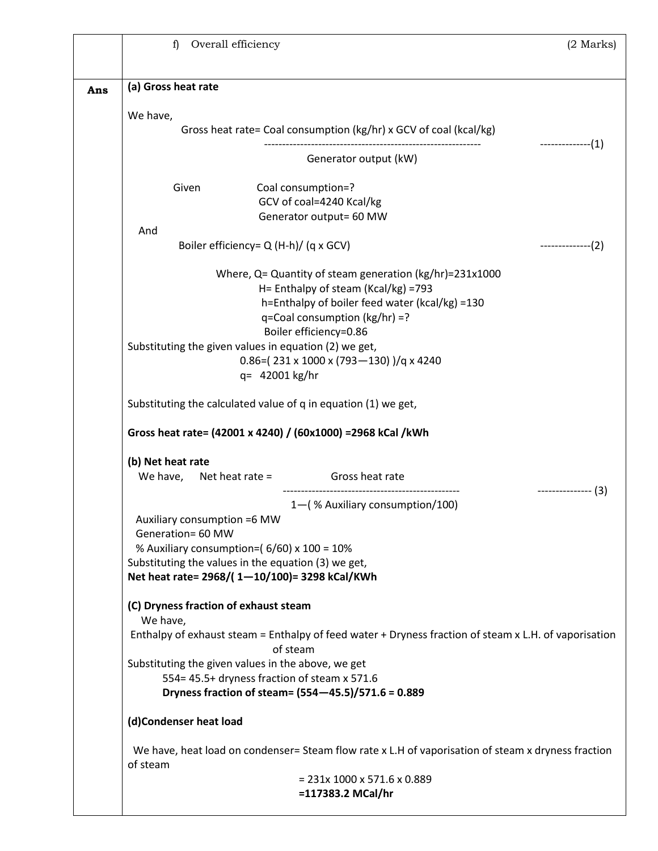|     | $\mathbf{f}$<br>Overall efficiency                                                                                | $(2$ Marks) |
|-----|-------------------------------------------------------------------------------------------------------------------|-------------|
|     |                                                                                                                   |             |
| Ans | (a) Gross heat rate                                                                                               |             |
|     | We have,                                                                                                          |             |
|     | Gross heat rate= Coal consumption (kg/hr) x GCV of coal (kcal/kg)                                                 |             |
|     | Generator output (kW)                                                                                             | $------(1)$ |
|     | Given<br>Coal consumption=?                                                                                       |             |
|     | GCV of coal=4240 Kcal/kg                                                                                          |             |
|     | Generator output= 60 MW<br>And                                                                                    |             |
|     | Boiler efficiency= Q (H-h)/ (q x GCV)                                                                             | $------(2)$ |
|     | Where, $Q =$ Quantity of steam generation (kg/hr)=231x1000                                                        |             |
|     | H= Enthalpy of steam (Kcal/kg) =793                                                                               |             |
|     | h=Enthalpy of boiler feed water (kcal/kg) =130<br>q=Coal consumption (kg/hr) =?                                   |             |
|     | Boiler efficiency=0.86                                                                                            |             |
|     | Substituting the given values in equation (2) we get,                                                             |             |
|     | $0.86 = (231 \times 1000 \times (793 - 130))$ / q x 4240<br>q= 42001 kg/hr                                        |             |
|     |                                                                                                                   |             |
|     | Substituting the calculated value of q in equation (1) we get,                                                    |             |
|     | Gross heat rate= (42001 x 4240) / (60x1000) = 2968 kCal / kWh                                                     |             |
|     | (b) Net heat rate                                                                                                 |             |
|     | We have, Net heat rate =<br>Gross heat rate                                                                       |             |
|     | 1-(% Auxiliary consumption/100)                                                                                   | $------(3)$ |
|     | Auxiliary consumption =6 MW                                                                                       |             |
|     | Generation= 60 MW<br>% Auxiliary consumption=(6/60) x 100 = 10%                                                   |             |
|     | Substituting the values in the equation (3) we get,                                                               |             |
|     | Net heat rate= 2968/(1-10/100)= 3298 kCal/KWh                                                                     |             |
|     | (C) Dryness fraction of exhaust steam                                                                             |             |
|     | We have,                                                                                                          |             |
|     | Enthalpy of exhaust steam = Enthalpy of feed water + Dryness fraction of steam x L.H. of vaporisation<br>of steam |             |
|     | Substituting the given values in the above, we get                                                                |             |
|     | 554= 45.5+ dryness fraction of steam x 571.6                                                                      |             |
|     | Dryness fraction of steam= (554-45.5)/571.6 = 0.889                                                               |             |
|     | (d)Condenser heat load                                                                                            |             |
|     | We have, heat load on condenser= Steam flow rate x L.H of vaporisation of steam x dryness fraction<br>of steam    |             |
|     | $= 231x 1000 x 571.6 x 0.889$                                                                                     |             |
|     | =117383.2 MCal/hr                                                                                                 |             |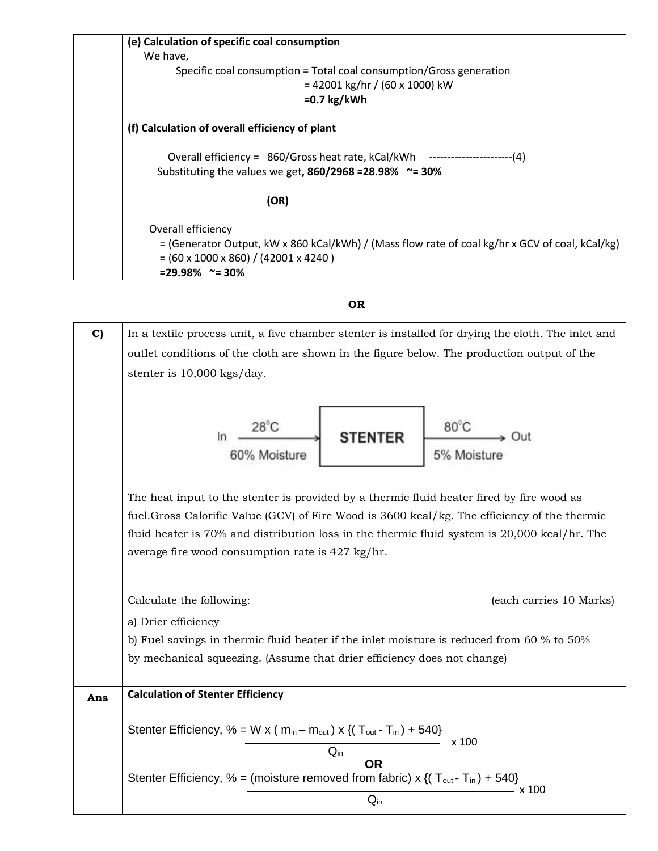| (e) Calculation of specific coal consumption                                                    |
|-------------------------------------------------------------------------------------------------|
| We have,                                                                                        |
| Specific coal consumption = Total coal consumption/Gross generation                             |
| $= 42001$ kg/hr / (60 x 1000) kW                                                                |
| $=0.7$ kg/kWh                                                                                   |
| (f) Calculation of overall efficiency of plant                                                  |
| Overall efficiency = 860/Gross heat rate, kCal/kWh ---------------------------(4)               |
| Substituting the values we get, $860/2968 = 28.98\%$ ~= 30%                                     |
| (OR)                                                                                            |
| Overall efficiency                                                                              |
| = (Generator Output, kW x 860 kCal/kWh) / (Mass flow rate of coal kg/hr x GCV of coal, kCal/kg) |
| $= (60 \times 1000 \times 860) / (42001 \times 4240)$                                           |
| $= 29.98\%$ ~= 30%                                                                              |

**OR**

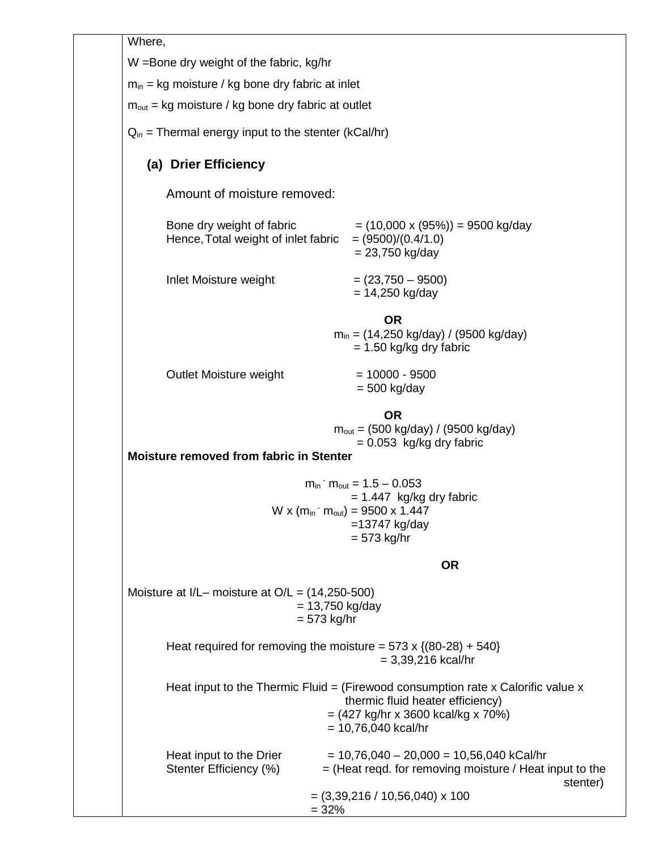Where,

W =Bone dry weight of the fabric, kg/hr

 $m_{in}$  = kg moisture / kg bone dry fabric at inlet

 $m<sub>out</sub> = kg moisture / kg bone dry fabric at outlet$ 

 $Q_{in}$  = Thermal energy input to the stenter (kCal/hr)

# **(a) Drier Efficiency**

Amount of moisture removed:

| Bone dry weight of fabric<br>Hence, Total weight of inlet fabric | $= (10,000 \times (95\%)) = 9500$ kg/day<br>$= (9500)/(0.4/1.0)$<br>$= 23,750$ kg/day |
|------------------------------------------------------------------|---------------------------------------------------------------------------------------|
|                                                                  |                                                                                       |

 $Inlet Moture weight$  =  $(23,750 - 9500)$ 

|                             | OR<br>$m_{in}$ = (14,250 kg/day) / (9500 kg/day)            |  |
|-----------------------------|-------------------------------------------------------------|--|
| Oral at Martatana and taket | $= 1.50$ kg/kg dry fabric<br>$\sim$ $\sim$ $\sim$<br>,,,,,, |  |

Outlet Moisture weight  $= 10000 - 9500$ 

= 500 kg/day

 $= 14,250$  kg/day

**OR**  $m_{\text{out}} = (500 \text{ kg/day}) / (9500 \text{ kg/day})$  $= 0.053$  kg/kg dry fabric

**Moisture removed from fabric in Stenter**

 $m_{in}$  -  $m_{out}$  = 1.5 – 0.053  $= 1.447$  kg/kg dry fabric W x ( $m_{in}$  -  $m_{out}$ ) = 9500 x 1.447 =13747 kg/day  $= 573$  kg/hr

**OR**

Moisture at I/L– moisture at O/L = (14,250-500)  $= 13,750$  kg/day = 573 kg/hr

> Heat required for removing the moisture =  $573 \times \{(80-28) + 540\}$  $= 3,39,216$  kcal/hr

|                                                   | Heat input to the Thermic Fluid $=$ (Firewood consumption rate x Calorific value x<br>thermic fluid heater efficiency)<br>$= (427 \text{ kg/hr} \times 3600 \text{ kcal/kg} \times 70\%)$<br>$= 10,76,040$ kcal/hr |
|---------------------------------------------------|--------------------------------------------------------------------------------------------------------------------------------------------------------------------------------------------------------------------|
| Heat input to the Drier<br>Stenter Efficiency (%) | $= 10,76,040 - 20,000 = 10,56,040$ kCal/hr<br>$=$ (Heat regd. for removing moisture / Heat input to the<br>stenter)                                                                                                |
|                                                   | $= (3,39,216 / 10,56,040) \times 100$<br>$= 32%$                                                                                                                                                                   |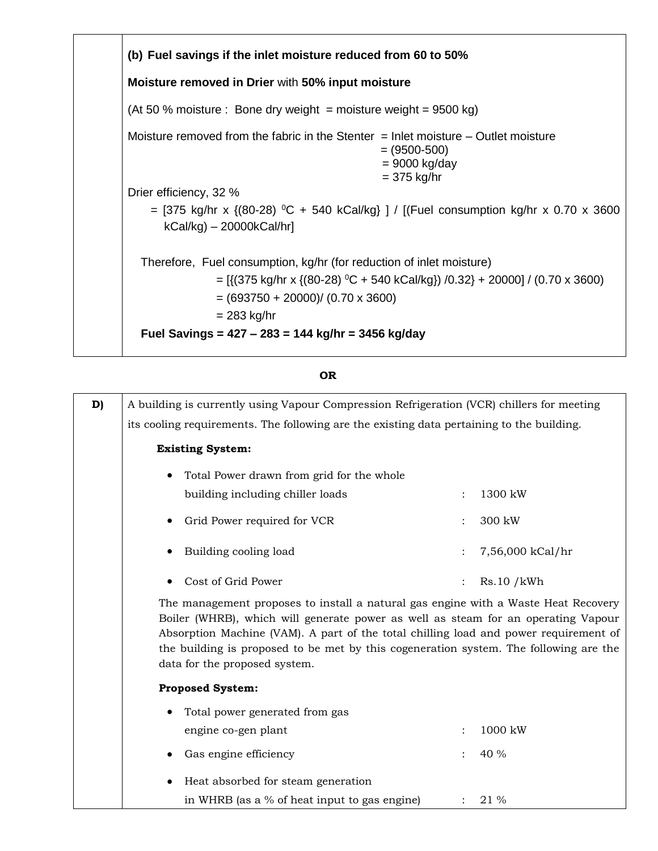

### **OR**

| D) | A building is currently using Vapour Compression Refrigeration (VCR) chillers for meeting                                                                                                                                                                                                                                                                                                                            |                      |                  |
|----|----------------------------------------------------------------------------------------------------------------------------------------------------------------------------------------------------------------------------------------------------------------------------------------------------------------------------------------------------------------------------------------------------------------------|----------------------|------------------|
|    | its cooling requirements. The following are the existing data pertaining to the building.                                                                                                                                                                                                                                                                                                                            |                      |                  |
|    | <b>Existing System:</b>                                                                                                                                                                                                                                                                                                                                                                                              |                      |                  |
|    | Total Power drawn from grid for the whole<br>$\bullet$                                                                                                                                                                                                                                                                                                                                                               |                      |                  |
|    | building including chiller loads                                                                                                                                                                                                                                                                                                                                                                                     | $\ddot{\phantom{0}}$ | 1300 kW          |
|    | Grid Power required for VCR                                                                                                                                                                                                                                                                                                                                                                                          |                      | 300 kW           |
|    | Building cooling load                                                                                                                                                                                                                                                                                                                                                                                                |                      | 7,56,000 kCal/hr |
|    | Cost of Grid Power                                                                                                                                                                                                                                                                                                                                                                                                   |                      | Rs.10/kWh        |
|    | The management proposes to install a natural gas engine with a Waste Heat Recovery<br>Boiler (WHRB), which will generate power as well as steam for an operating Vapour<br>Absorption Machine (VAM). A part of the total chilling load and power requirement of<br>the building is proposed to be met by this cogeneration system. The following are the<br>data for the proposed system.<br><b>Proposed System:</b> |                      |                  |
|    |                                                                                                                                                                                                                                                                                                                                                                                                                      |                      |                  |
|    | Total power generated from gas                                                                                                                                                                                                                                                                                                                                                                                       |                      |                  |
|    | engine co-gen plant                                                                                                                                                                                                                                                                                                                                                                                                  |                      | 1000 kW          |
|    | Gas engine efficiency                                                                                                                                                                                                                                                                                                                                                                                                |                      | 40 %             |
|    | Heat absorbed for steam generation                                                                                                                                                                                                                                                                                                                                                                                   |                      |                  |
|    | in WHRB (as a % of heat input to gas engine)                                                                                                                                                                                                                                                                                                                                                                         |                      | 21 %             |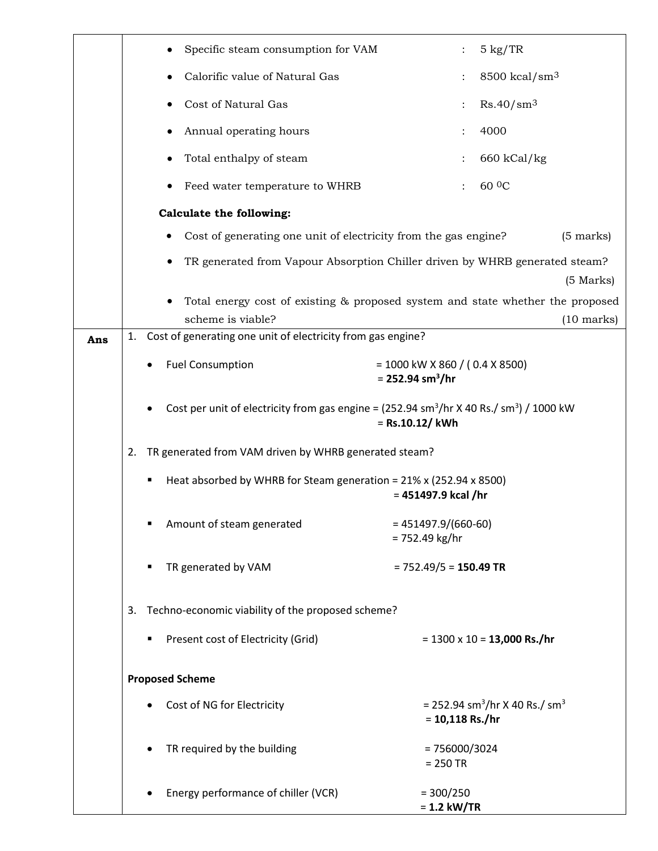|     | Specific steam consumption for VAM                                                                                                                                                                                                                                                                                         | $5 \text{ kg}/\text{TR}$                                                       |  |
|-----|----------------------------------------------------------------------------------------------------------------------------------------------------------------------------------------------------------------------------------------------------------------------------------------------------------------------------|--------------------------------------------------------------------------------|--|
|     | Calorific value of Natural Gas                                                                                                                                                                                                                                                                                             | $8500$ kcal/sm <sup>3</sup>                                                    |  |
|     | Cost of Natural Gas                                                                                                                                                                                                                                                                                                        | Rs.40/sm <sup>3</sup>                                                          |  |
|     | Annual operating hours<br>$\bullet$                                                                                                                                                                                                                                                                                        | 4000                                                                           |  |
|     | Total enthalpy of steam                                                                                                                                                                                                                                                                                                    | $660$ kCal/kg                                                                  |  |
|     | Feed water temperature to WHRB                                                                                                                                                                                                                                                                                             | 60 <sup>0</sup> C                                                              |  |
|     | <b>Calculate the following:</b>                                                                                                                                                                                                                                                                                            |                                                                                |  |
|     | Cost of generating one unit of electricity from the gas engine?                                                                                                                                                                                                                                                            | $(5 \text{ marks})$                                                            |  |
|     | TR generated from Vapour Absorption Chiller driven by WHRB generated steam?                                                                                                                                                                                                                                                |                                                                                |  |
|     |                                                                                                                                                                                                                                                                                                                            | $(5$ Marks)                                                                    |  |
|     |                                                                                                                                                                                                                                                                                                                            | Total energy cost of existing & proposed system and state whether the proposed |  |
|     | scheme is viable?                                                                                                                                                                                                                                                                                                          | $(10 \text{ marks})$                                                           |  |
| Ans | Cost of generating one unit of electricity from gas engine?<br>1.                                                                                                                                                                                                                                                          |                                                                                |  |
|     | <b>Fuel Consumption</b>                                                                                                                                                                                                                                                                                                    | $= 1000$ kW X 860 / (0.4 X 8500)<br>$= 252.94$ sm <sup>3</sup> /hr             |  |
|     | Cost per unit of electricity from gas engine = $(252.94 \text{ sm}^3/\text{hr} \times 40 \text{ Rs.} / \text{sm}^3)/1000 \text{ kW}$<br>= Rs.10.12/ kWh<br>TR generated from VAM driven by WHRB generated steam?<br>2.<br>Heat absorbed by WHRB for Steam generation = 21% x (252.94 x 8500)<br>٠<br>$= 451497.9$ kcal /hr |                                                                                |  |
|     |                                                                                                                                                                                                                                                                                                                            |                                                                                |  |
|     |                                                                                                                                                                                                                                                                                                                            |                                                                                |  |
|     | Amount of steam generated                                                                                                                                                                                                                                                                                                  | $= 451497.9/(660-60)$<br>$= 752.49$ kg/hr                                      |  |
|     | TR generated by VAM                                                                                                                                                                                                                                                                                                        | $= 752.49/5 = 150.49$ TR                                                       |  |
|     | 3. Techno-economic viability of the proposed scheme?                                                                                                                                                                                                                                                                       |                                                                                |  |
|     | Present cost of Electricity (Grid)                                                                                                                                                                                                                                                                                         | $= 1300 \times 10 = 13,000$ Rs./hr                                             |  |
|     | <b>Proposed Scheme</b>                                                                                                                                                                                                                                                                                                     |                                                                                |  |
|     | Cost of NG for Electricity                                                                                                                                                                                                                                                                                                 | = 252.94 sm <sup>3</sup> /hr X 40 Rs./ sm <sup>3</sup><br>$= 10,118$ Rs./hr    |  |
|     | TR required by the building                                                                                                                                                                                                                                                                                                | $= 756000/3024$<br>$= 250$ TR                                                  |  |
|     | Energy performance of chiller (VCR)                                                                                                                                                                                                                                                                                        | $= 300/250$<br>$= 1.2$ kW/TR                                                   |  |